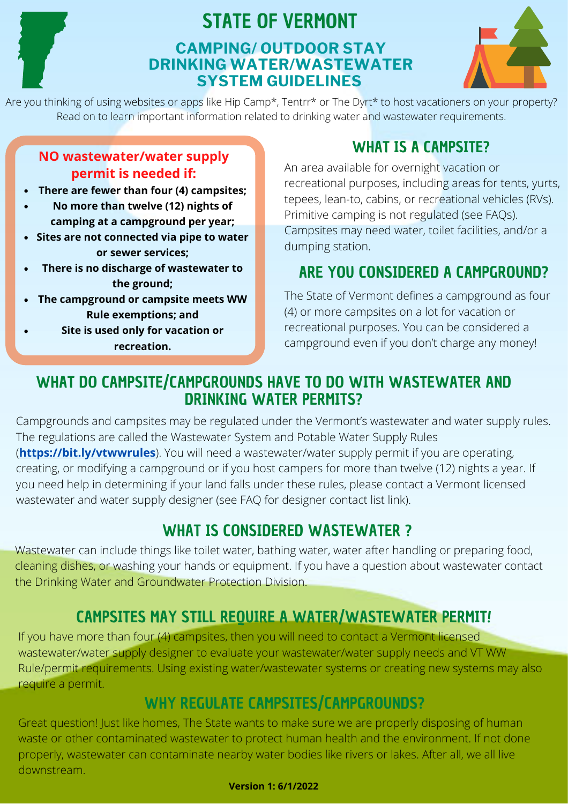

### STATE OF VERMONT **CAMPING/ OUTDOOR STAY DRINKING WATER/WASTEWATER SYSTEM GUIDELINES**



Are you thinking of using websites or apps like Hip Camp\*, Tentrr\* or The Dyrt\* to host vacationers on your property? Read on to learn important information related to drinking water and wastewater requirements.

#### **NO wastewater/water supply permit is needed if:**

- **There are fewer than four (4) campsites;**
- **No more than twelve (12) nights of camping at a campground per year;**
- **Sites are not connected via pipe to water or sewer services;**
- **There is no discharge of wastewater to the ground;**
- **The campground or campsite meets WW Rule exemptions; and**
- **Site is used only for vacation or recreation.**

## WHAT IS A CAMPSITE?

An area available for overnight vacation or recreational purposes, including areas for tents, yurts, tepees, lean-to, cabins, or recreational vehicles (RVs). Primitive camping is not regulated (see FAQs). Campsites may need water, toilet facilities, and/or a dumping station.

# ARE YOU CONSIDERED A CAMPGROUND?

The State of Vermont defines a campground as four (4) or more campsites on a lot for vacation or recreational purposes. You can be considered a campground even if you don't charge any money!

### WHAT DO CAMPSITE/CAMPGROUNDS HAVE TO DO WITH WASTEWATER AND DRINKING WATER PERMITS?

Campgrounds and campsites may be regulated under the Vermont's wastewater and water supply rules. [The regulations are called the Wastewater System and Potable Water Supply Rules](https://dec.vermont.gov/sites/dec/files/dwgwp/rorules/pdf/Wastewater-System-and-Potable-Water-Supply-Rules-April-12-2019.pdf) (**[https://bit.ly/vtwwrules](https://dec.vermont.gov/sites/dec/files/dwgwp/rorules/pdf/Wastewater-System-and-Potable-Water-Supply-Rules-April-12-2019.pdf)**[\).](https://dec.vermont.gov/sites/dec/files/dwgwp/rorules/pdf/Wastewater-System-and-Potable-Water-Supply-Rules-April-12-2019.pdf) You will need a wastewater/water supply permit if you are operating, creating, or modifying a campground or if you host campers for more than twelve (12) nights a year. If you need help in determining if your land falls under these rules, please contact a Vermont licensed wastewater and water supply designer (see FAQ for designer contact list link).

# WHAT IS CONSIDERED WASTEWATER ?

Wastewater can include things like toilet water, bathing water, water after handling or preparing food, cleaning dishes, or washing your hands or equipment. If you have a question about wastewater contact the Drinking Water and Groundwater Protection Division.

# CAMPSITES MAY STILL REQUIRE A WATER/WASTEWATER PERMIT!

If you have more than four (4) campsites, then you will need to contact a Vermont licensed wastewater/water supply designer to evaluate your wastewater/water supply needs and VT WW Rule/permit requirements. Using existing water/wastewater systems or creating new systems may also require a permit.

### WHY REGULATE CAMPSITES/CAMPGROUNDS?

Great question! Just like homes, The State wants to make sure we are properly disposing of human waste or other contaminated wastewater to protect human health and the environment. If not done properly, wastewater can contaminate nearby water bodies like rivers or lakes. After all, we all live downstream.

#### **Version 1: 6/1/2022**